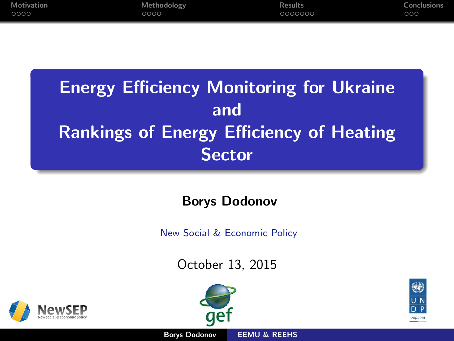<span id="page-0-0"></span>

| Motivation | Methodology | <b>Results</b> | Conclusions |
|------------|-------------|----------------|-------------|
| 0000       | 0000        | 0000000        | ೦೦೦         |

# **Energy Efficiency Monitoring for Ukraine** and Rankings of Energy Efficiency of Heating **Sector**

## Borys Dodonov

New Social & Economic Policy

October 13, 2015





Borys Dodonov [EEMU & REEHS](#page-18-0)



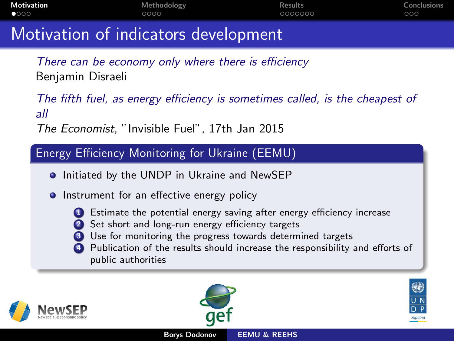<span id="page-1-0"></span>

| Motivation    | Methodology                          | <b>Results</b> | Conclusions |
|---------------|--------------------------------------|----------------|-------------|
| $\bullet$ 000 | 0000                                 | -0000000       | 000         |
|               | Motivation of indicators dovelopment |                |             |

## Motivation of indicators development

There can be economy only where there is efficiency Benjamin Disraeli

The fifth fuel, as energy efficiency is sometimes called, is the cheapest of all

The Economist, "Invisible Fuel", 17th Jan 2015

### Energy Efficiency Monitoring for Ukraine (EEMU)

- **•** Initiated by the UNDP in Ukraine and NewSEP
- **•** Instrument for an effective energy policy
	-
	- **1** Estimate the potential energy saving after energy efficiency increase
	- Set short and long-run energy efficiency targets
	- <sup>3</sup> Use for monitoring the progress towards determined targets
	- Publication of the results should increase the responsibility and efforts of public authorities





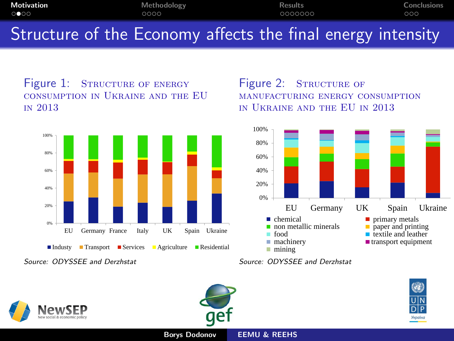<span id="page-2-0"></span>

| <b>Motivation</b>           | Methodology                                                 | <b>Results</b> | Conclusions |
|-----------------------------|-------------------------------------------------------------|----------------|-------------|
| $\circ \bullet \circ \circ$ | 0000                                                        | 0000000        | 000         |
|                             | Structure of the Economy affects the final energy intensity |                |             |

Figure 1: STRUCTURE OF ENERGY consumption in Ukraine and the EU in 2013



Source: ODYSSEE and Derzhstat

Figure 2: STRUCTURE OF manufacturing energy consumption in Ukraine and the EU in 2013



Source: ODYSSEE and Derzhstat





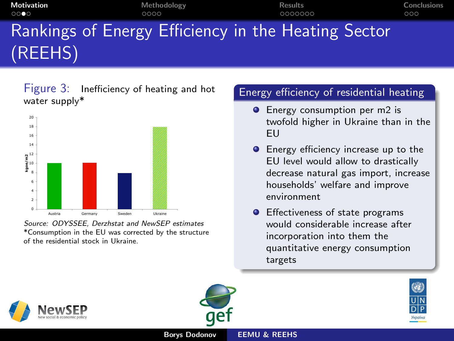<span id="page-3-0"></span>

| <b>Motivation</b><br>0000 | Methodology<br>0000 | Results<br>0000000                                  | Conclusions<br>000 |
|---------------------------|---------------------|-----------------------------------------------------|--------------------|
|                           |                     | Rankings of Energy Efficiency in the Heating Sector |                    |
| (REEHS)                   |                     |                                                     |                    |

Figure 3: Inefficiency of heating and hot water supply\*



Source: ODYSSEE, Derzhstat and NewSEP estimates \*Consumption in the EU was corrected by the structure of the residential stock in Ukraine.

#### Energy efficiency of residential heating

- **Energy consumption per m2 is** twofold higher in Ukraine than in the EU
- **•** Energy efficiency increase up to the EU level would allow to drastically decrease natural gas import, increase households' welfare and improve environment
- **•** Effectiveness of state programs would considerable increase after incorporation into them the quantitative energy consumption targets



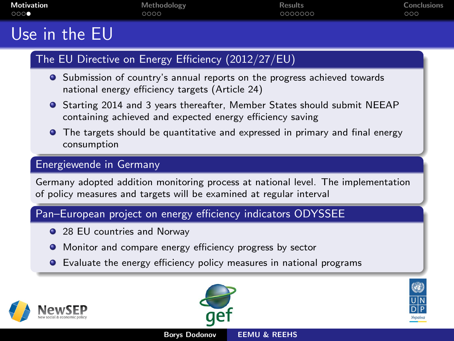<span id="page-4-0"></span>

| <b>Motivation</b> | Methodology | <b>Results</b> | Conclusions |
|-------------------|-------------|----------------|-------------|
| 000               | 0000        | 0000000        | 000         |
| . .               |             |                |             |

## Use in the EU

#### The EU Directive on Energy Efficiency (2012/27/EU)

- **•** Submission of country's annual reports on the progress achieved towards national energy efficiency targets (Article 24)
- Starting 2014 and 3 years thereafter, Member States should submit NEEAP containing achieved and expected energy efficiency saving
- **•** The targets should be quantitative and expressed in primary and final energy consumption

#### Energiewende in Germany

Germany adopted addition monitoring process at national level. The implementation of policy measures and targets will be examined at regular interval

#### Pan–European project on energy efficiency indicators ODYSSEE

- 28 EU countries and Norway
- **•** Monitor and compare energy efficiency progress by sector
- **•** Evaluate the energy efficiency policy measures in national programs





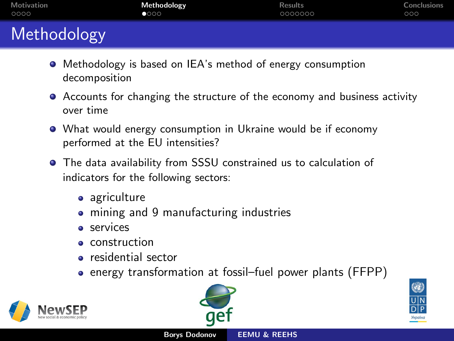<span id="page-5-0"></span>

| Motivation  | Methodology | <b>Results</b> | Conclusions |
|-------------|-------------|----------------|-------------|
| 0000        | 0000        | 0000000        | 000         |
|             |             |                |             |
| Methodology |             |                |             |

- Methodology is based on IEA's method of energy consumption decomposition
- Accounts for changing the structure of the economy and business activity over time
- What would energy consumption in Ukraine would be if economy performed at the EU intensities?
- The data availability from SSSU constrained us to calculation of indicators for the following sectors:
	- agriculture
	- mining and 9 manufacturing industries
	- **a** services
	- **e** construction
	- residential sector
	- energy transformation at fossil–fuel power plants (FFPP)







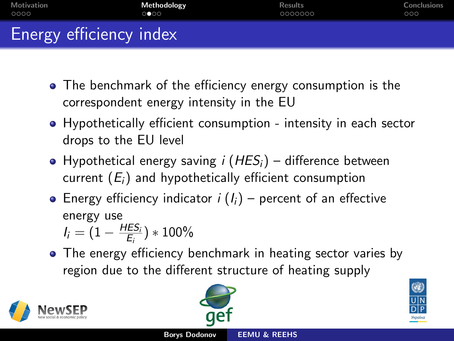<span id="page-6-0"></span>

| Motivation              | Methodology | <b>Results</b> | Conclusions |
|-------------------------|-------------|----------------|-------------|
| 0000                    | 0000        | 0000000        | 000         |
| Energy efficiency index |             |                |             |

- The benchmark of the efficiency energy consumption is the correspondent energy intensity in the EU
- Hypothetically efficient consumption intensity in each sector drops to the EU level
- Hypothetical energy saving *i* ( $HES<sub>i</sub>$ ) difference between current  $(E_i)$  and hypothetically efficient consumption
- **•** Energy efficiency indicator  $i$  ( $I_i$ ) percent of an effective energy use

 $I_i = (1 - \frac{HES_i}{E_i})$  $(\frac{ES_i}{E_i}) * 100\%$ 

• The energy efficiency benchmark in heating sector varies by region due to the different structure of heating supply







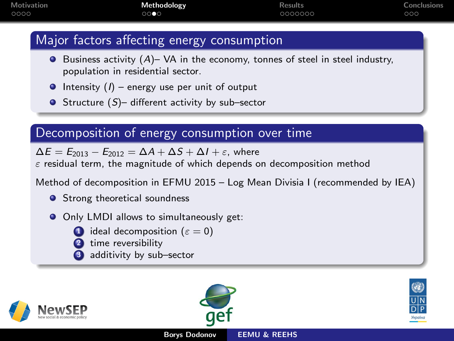<span id="page-7-0"></span>

| <b>Motivation</b> | Methodology | <b>Results</b> | Conclusions |
|-------------------|-------------|----------------|-------------|
| 0000              | 0000        | 0000000        | ೦೦೦         |

## Major factors affecting energy consumption

- $\bullet$  Business activity  $(A)$  VA in the economy, tonnes of steel in steel industry, population in residential sector.
- $\bullet$  Intensity (*I*) energy use per unit of output
- $\bullet$  Structure (S)– different activity by sub–sector

### Decomposition of energy consumption over time

 $\Delta E = E_{2013} - E_{2012} = \Delta A + \Delta S + \Delta I + \varepsilon$ , where

 $\varepsilon$  residual term, the magnitude of which depends on decomposition method

Method of decomposition in EFMU 2015 – Log Mean Divisia I (recommended by IEA)

- **Strong theoretical soundness**
- Only LMDI allows to simultaneously get:
	- ideal decomposition ( $\varepsilon = 0$ )
	- time reversibility
	- additivity by sub-sector





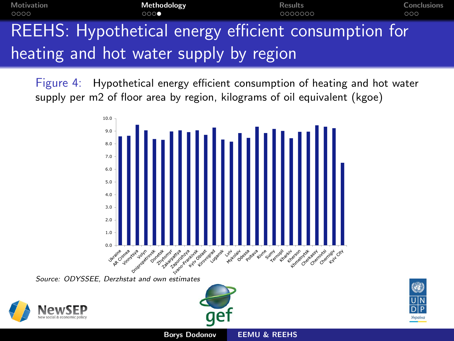<span id="page-8-0"></span>

| Motivation<br>0000 | Methodology<br>000                                   | <b>Results</b><br>0000000 | Conclusions<br>000 |
|--------------------|------------------------------------------------------|---------------------------|--------------------|
|                    | REEHS: Hypothetical energy efficient consumption for |                           |                    |
|                    | heating and hot water supply by region               |                           |                    |

Figure 4: Hypothetical energy efficient consumption of heating and hot water supply per m2 of floor area by region, kilograms of oil equivalent (kgoe)



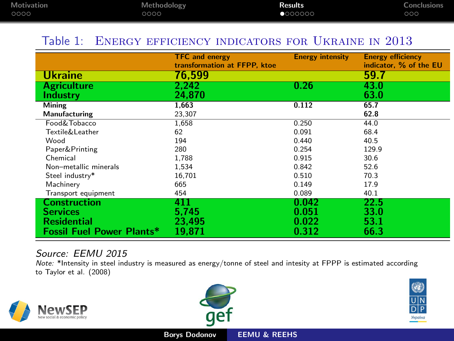<span id="page-9-0"></span>

| <b>Motivation</b> | Methodology | <b>Results</b> | <b>Conclusions</b> |
|-------------------|-------------|----------------|--------------------|
| 0000              | 0000        | 000000         | ೦೦೦                |

#### Table 1: Energy efficiency indicators for Ukraine in 2013

|                                                                                                  | <b>TFC and energy</b><br>transformation at FFPP, ktoe | <b>Energy intensity</b>          | <b>Energy efficiency</b><br>indicator, % of the EU |
|--------------------------------------------------------------------------------------------------|-------------------------------------------------------|----------------------------------|----------------------------------------------------|
| <b>Ukraine</b>                                                                                   | 76.599                                                |                                  | 59.7                                               |
| <b>Agriculture</b>                                                                               | 2.242                                                 | 0.26                             | 43.0                                               |
| Industry                                                                                         | 24.870                                                |                                  | 63.0                                               |
| Mining                                                                                           | 1.663                                                 | 0.112                            | 65.7                                               |
| Manufacturing                                                                                    | 23,307                                                |                                  | 62.8                                               |
| Food&Tobacco                                                                                     | 1,658                                                 | 0.250                            | 44.0                                               |
| Textile&Leather                                                                                  | 62                                                    | 0.091                            | 68.4                                               |
| Wood                                                                                             | 194                                                   | 0.440                            | 40.5                                               |
| Paper&Printing                                                                                   | 280                                                   | 0.254                            | 129.9                                              |
| Chemical                                                                                         | 1,788                                                 | 0.915                            | 30.6                                               |
| Non-metallic minerals                                                                            | 1,534                                                 | 0.842                            | 52.6                                               |
| Steel industry*                                                                                  | 16,701                                                | 0.510                            | 70.3                                               |
| Machinery                                                                                        | 665                                                   | 0.149                            | 17.9                                               |
| Transport equipment                                                                              | 454                                                   | 0.089                            | 40.1                                               |
| <b>Construction</b><br><b>Services</b><br><b>Residential</b><br><b>Fossil Fuel Power Plants*</b> | 411<br>5.745<br>23.495<br>19.871                      | 0.042<br>0.051<br>0.022<br>0.312 | 22.5<br>33.0<br>53.1<br>66.3                       |

#### Source: EEMU 2015

Note: \*Intensity in steel industry is measured as energy/tonne of steel and intesity at FPPP is estimated according to Taylor et al. (2008)





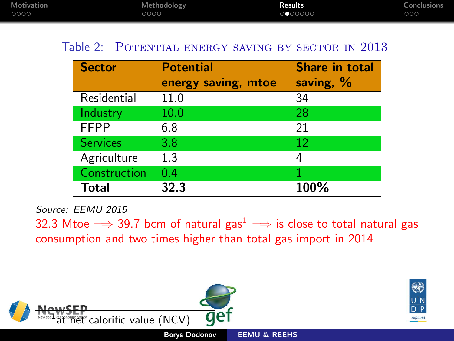<span id="page-10-0"></span>

| <b>Motivation</b> | Methodology | <b>Results</b> | <b>Conclusions</b> |
|-------------------|-------------|----------------|--------------------|
| 0000              | 0000        | 000000         | ೦೦೦                |

#### Table 2: POTENTIAL ENERGY SAVING BY SECTOR IN 2013

| <b>Sector</b>   | <b>Potential</b><br>energy saving, mtoe | Share in total<br>saving, % |
|-----------------|-----------------------------------------|-----------------------------|
| Residential     | 11.0                                    | 34                          |
| Industry        | 10.0                                    | 28                          |
| <b>FFPP</b>     | 6.8                                     | 21                          |
| <b>Services</b> | 3.8                                     | 12                          |
| Agriculture     | 1.3                                     | 4                           |
| Construction    | 0.4                                     |                             |
| Total           | 32.3                                    | 100%                        |

Source: EEMU 2015

32.3 Mtoe  $\Rightarrow$  39.7 bcm of natural gas<sup>1</sup>  $\Rightarrow$  is close to total natural gas consumption and two times higher than total gas import in 2014

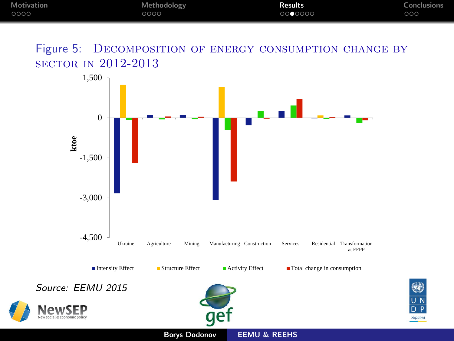<span id="page-11-0"></span>

| Motivation | Methodology | <b>Results</b> | <b>Conclusions</b> |
|------------|-------------|----------------|--------------------|
| 0000       | 0000        | 0000000        | ೦೦೦                |

Figure 5: DECOMPOSITION OF ENERGY CONSUMPTION CHANGE BY sector in 2012-2013



Українс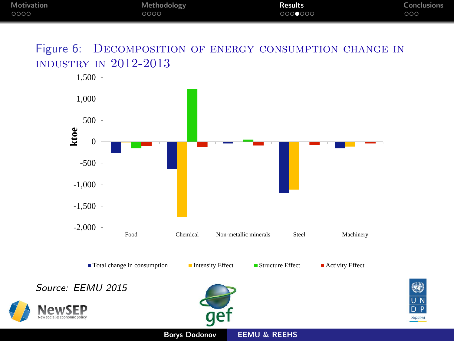<span id="page-12-0"></span>

| Motivation | Methodology | <b>Results</b> | Conclusions |
|------------|-------------|----------------|-------------|
| 0000       | 0000        | 0000000        | ೦೦೦         |

Figure 6: DECOMPOSITION OF ENERGY CONSUMPTION CHANGE IN industry in 2012-2013



Українс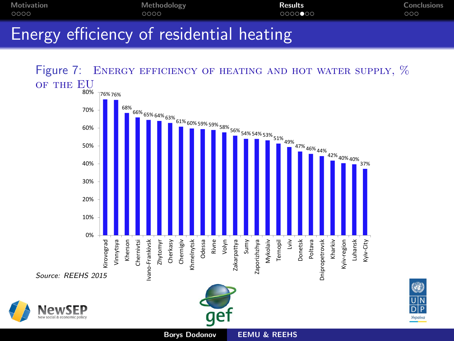<span id="page-13-0"></span>







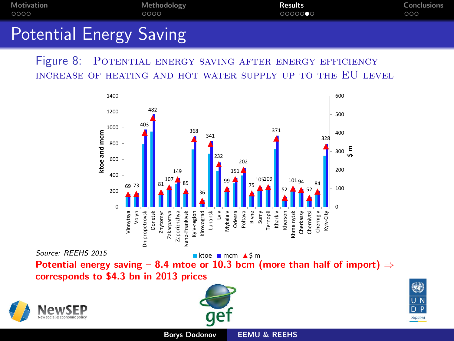<span id="page-14-0"></span>

| Motivation                     | Methodology | Results | Conclusions |
|--------------------------------|-------------|---------|-------------|
| 0000                           | 0000        | 0000000 | 000         |
| <b>Potential Energy Saving</b> |             |         |             |

Figure 8: POTENTIAL ENERGY SAVING AFTER ENERGY EFFICIENCY increase of heating and hot water supply up to the EU level



Potential energy saving – 8.4 mtoe or 10.3 bcm (more than half of import)  $\Rightarrow$ corresponds to \$4.3 bn in 2013 prices



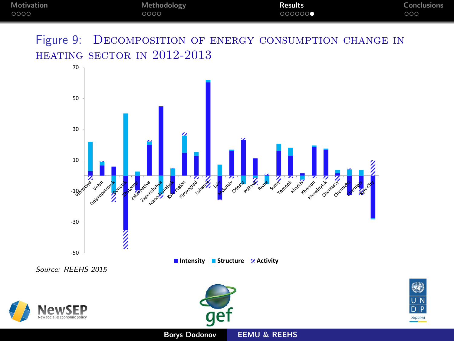<span id="page-15-0"></span>

| Motivation | Methodology | <b>Results</b> | Conclusions         |
|------------|-------------|----------------|---------------------|
| 0000       | 0000        | 000000         | $\circ \circ \circ$ |

Figure 9: DECOMPOSITION OF ENERGY CONSUMPTION CHANGE IN heating sector in 2012-2013



Україн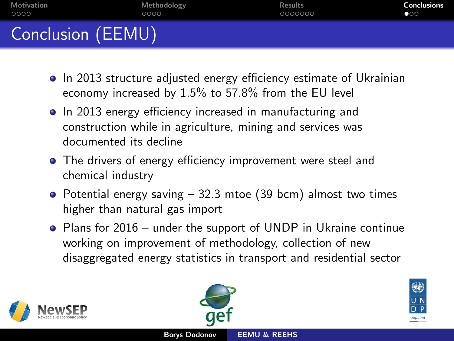<span id="page-16-0"></span>

| Motivation        | Methodology | <b>Results</b> | <b>Conclusions</b> |
|-------------------|-------------|----------------|--------------------|
| 0000              | 0000        | 0000000        | $\bullet$ 00       |
| Conclusion (EEMU) |             |                |                    |

- In 2013 structure adjusted energy efficiency estimate of Ukrainian economy increased by 1.5% to 57.8% from the EU level
- In 2013 energy efficiency increased in manufacturing and construction while in agriculture, mining and services was documented its decline
- The drivers of energy efficiency improvement were steel and chemical industry
- Potential energy saving  $-32.3$  mtoe (39 bcm) almost two times higher than natural gas import
- Plans for 2016 under the support of UNDP in Ukraine continue working on improvement of methodology, collection of new disaggregated energy statistics in transport and residential sector





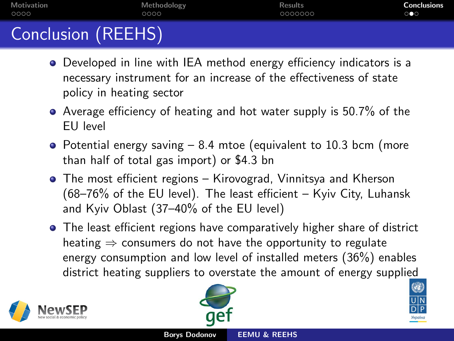<span id="page-17-0"></span>

| Motivation         | Methodology | <b>Results</b> | <b>Conclusions</b>    |
|--------------------|-------------|----------------|-----------------------|
| 0000               | 0000        | 0000000        | $\circ \bullet \circ$ |
| Conclusion (REEHS) |             |                |                       |

- Developed in line with IEA method energy efficiency indicators is a necessary instrument for an increase of the effectiveness of state policy in heating sector
- Average efficiency of heating and hot water supply is 50.7% of the EU level
- Potential energy saving 8.4 mtoe (equivalent to 10.3 bcm (more than half of total gas import) or \$4.3 bn
- The most efficient regions Kirovograd, Vinnitsya and Kherson (68–76% of the EU level). The least efficient – Kyiv City, Luhansk and Kyiv Oblast (37–40% of the EU level)
- The least efficient regions have comparatively higher share of district heating  $\Rightarrow$  consumers do not have the opportunity to regulate energy consumption and low level of installed meters (36%) enables district heating suppliers to overstate the amount of energy supplied